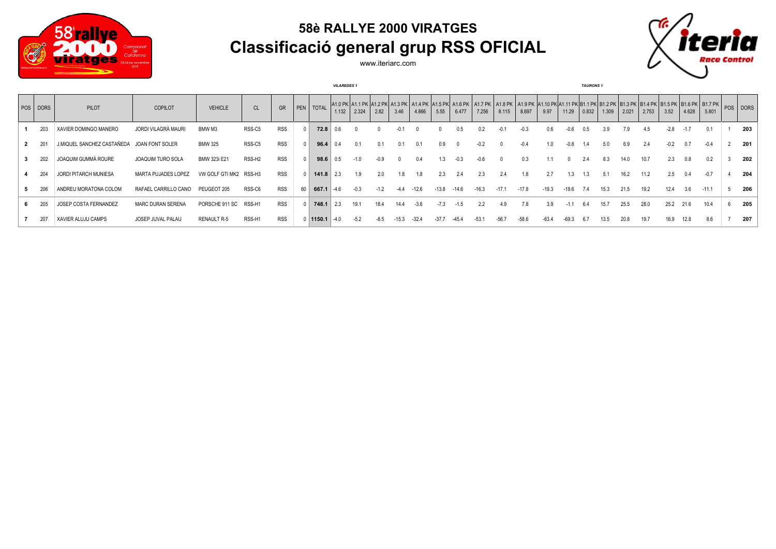

## **58è RALLYE 2000 VIRATGES Classificació general grup RSS OFICIAL**



www.iteriarc.com

|          |                            |                            | <b>VILAREDES 1</b> |                    |            |    |             |       |        |        |        |         | <b>TAURONS 1</b> |       |         |         |         |         |         |       |       |       |       |        |       |                                                                                                                                                                                   |  |     |
|----------|----------------------------|----------------------------|--------------------|--------------------|------------|----|-------------|-------|--------|--------|--------|---------|------------------|-------|---------|---------|---------|---------|---------|-------|-------|-------|-------|--------|-------|-----------------------------------------------------------------------------------------------------------------------------------------------------------------------------------|--|-----|
| POS DORS | PILOT                      | <b>COPILOT</b>             | <b>VEHICLE</b>     | CL                 | GR         |    | PEN   TOTAL | 1.132 | 2.324  | 2.82   | 3.46   | 4.866   | 5.55             | 6.477 | 7.256   | 8.115   | 8.697   | 9.97    | 11.29   | 0.832 | 1.309 | 2.021 | 2.753 | 3.52   | 4.628 | A1.0 PK A1.1 PK A1.2 PK A1.3 PK A1.4 PK A1.5 PK A1.5 PK A1.7 PK A1.3 PK A1.9 PK A1.10 PK A1.11 PK B1.1 PK B1.2 PK B1.3 PK B1.4 PK B1.5 PK B1.5 PK B1.7 PK B B1.7 PK DORS<br>5.801 |  |     |
| 203      | XAVIER DOMINGO MANERO      | JORDI VILAGRÀ MAURI        | BMW M3             | RSS-C5             | <b>RSS</b> |    | 72.8        |       |        |        |        |         |                  | 0.5   |         |         | $-0.3$  | 0.6     |         | 0.5   | 3.9   |       | 4.5   | $-2.8$ |       | 0.1                                                                                                                                                                               |  | 203 |
| 201      | J.MIQUEL SANCHEZ CASTAÑEDA | JOAN FONT SOLER            | <b>BMW 325</b>     | RSS-C5             | <b>RSS</b> |    | 96.4        |       |        | 0.1    |        | 0.1     | 0.9              |       |         |         |         |         |         |       |       | 6.9   |       |        |       |                                                                                                                                                                                   |  | 201 |
| 202      | JOAQUIM GUMMÀ ROURE        | JOAQUIM TURO SOLA          | BMW 323i E21       | RSS-H <sub>2</sub> | <b>RSS</b> |    | 98.6        |       |        | $-0.9$ |        | 0.4     |                  | -0.3  | -06     |         | 0.3     |         |         |       | 8.3   | 14.0  | 10.7  | 2.3    |       | 0.2                                                                                                                                                                               |  | 202 |
| 204      | JORDI PITARCH MUNIESA      | <b>MARTA PUJADES LOPEZ</b> | VW GOLF GTI MK2    | RSS-H3             | <b>RSS</b> |    | 141.8       |       | 1.9    | 2.0    |        |         | 2.3              |       |         | 2.4     | 1.8     | 2.7     | 1.3     | 1.3   | 5.1   | 16.2  | 11.2  | 2.5    |       | $-0.7$                                                                                                                                                                            |  | 204 |
| 206      | ANDREU MORATONA COLOM      | RAFAEL CARRILLO CANO       | PEUGEOT 205        | RSS-C6             | <b>RSS</b> | 60 | 667.1       | -46   |        | $-1.2$ | $-4.4$ | $-12.6$ | $-13.8$          | -14.6 | $-16.3$ | $-17.1$ | $-17.8$ | $-19.3$ | $-19.6$ | 7.4   | 15.3  | 21.5  | 19.2  | 12.4   | 3.6   | $-11.1$                                                                                                                                                                           |  | 206 |
| 205      | JOSEP COSTA FERNANDEZ      | MARC DURAN SERENA          | PORSCHE 911 SC     | RSS-H1             | <b>RSS</b> |    | 748.1       |       | 19.1   | 18.4   |        | $-3.6$  |                  |       |         | 4.9     | 7.8     | 3.9     |         | b.4   | 15.7  | 25.5  | 28.0  | 25.2   | 21.6  | 10.4                                                                                                                                                                              |  | 205 |
| 207      | XAVIER ALUJU CAMPS         | JOSEP JUVAL PALAU          | RENAULT R-5        | RSS-H1             | <b>RSS</b> |    | 0 1150.1    | -40   | $-5.2$ | -8.5   |        | $-32.4$ |                  |       |         | -56.7   |         | $-63.4$ |         |       | 13.5  | 20.8  | 19.7  | 16.9   |       | 8.6                                                                                                                                                                               |  | 207 |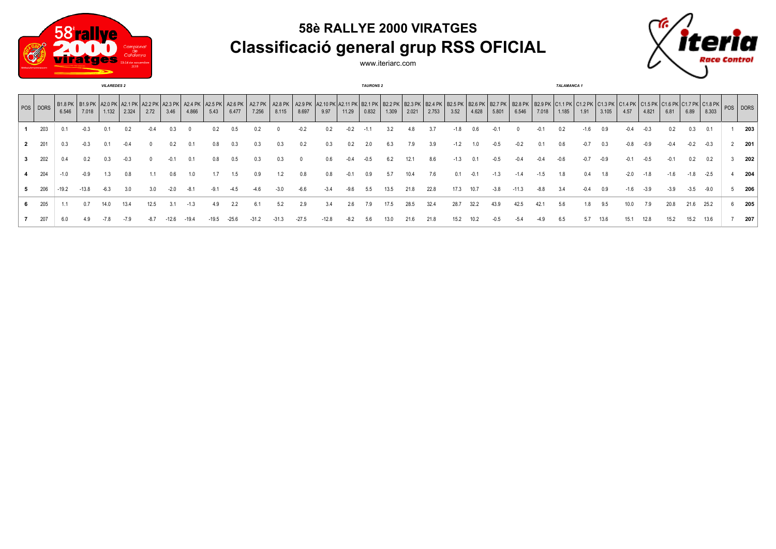

## **58è RALLYE 2000 VIRATGES Classificació general grup RSS OFICIAL**



www.iteriarc.com

|              | <b>VILAREDES 2</b> |         |                                                                      |        |       |      |      |                  |      |       |                                        |        |        |        |        | <b>TAURONS 2</b> |       |       |       |        | <b>TALAMANCA1</b> |        |                                                                                                                                                              |        |        |        |        |        |        |        |        |                                                                   |   |     |
|--------------|--------------------|---------|----------------------------------------------------------------------|--------|-------|------|------|------------------|------|-------|----------------------------------------|--------|--------|--------|--------|------------------|-------|-------|-------|--------|-------------------|--------|--------------------------------------------------------------------------------------------------------------------------------------------------------------|--------|--------|--------|--------|--------|--------|--------|--------|-------------------------------------------------------------------|---|-----|
|              | POS DORS           | 6.546   | B1.8 PK   B1.9 PK   A2.0 PK   A2.1 PK   A2.2 PK   A2.3 PK  <br>7.018 | 1.132  | 2.324 | 2.72 | 3.46 | A2.4 PK<br>4.866 | 5.43 | 6.477 | A2.5 PK   A2.6 PK   A2.7 PK  <br>7.256 | 8.115  | 8.697  | 9.97   | 11.29  | 0.832            | 1.309 | 2.021 | 2.753 | 3.52   | 4.628             | 5.801  | A2.8 PK   A2.9 PK  A2.10 PK  A2.11 PK   B2.1 PK   B2.2 PK   B2.3 PK   B2.4 PK   B2.5 PK   B2.6 PK   B2.7 PK   B2.8 PK   B2.9 PK   C1.1 PK   C1.2 PK<br>6.546 | 7.018  | 1.185  | 1.91   | 3.105  | 4.57   | 4.821  | 6.81   | 6.89   | C1.3 PK C1.4 PK C1.5 PK C1.6 PK C1.7 PK C1.8 PK POS DORS<br>8.303 |   |     |
|              | 203                | 0.1     | $-0.3$                                                               |        | 0.2   |      |      |                  |      |       |                                        |        | $-0.2$ | 0.2    | $-0.2$ |                  | 3.2   | 4.8   |       | $-1.8$ |                   | -0     |                                                                                                                                                              |        | 0.2    | $-1.6$ | 0.9    | -0.4   | -0.3   |        | 0.3    | 0.1                                                               |   | 203 |
| $\mathbf{2}$ | 201                | 0.3     |                                                                      |        |       |      |      |                  | 0.8  | 0.3   | 0.3                                    | 0.3    | 0.2    | 0.3    | 0.2    |                  | 6.3   | 7.9   | 3.9   | $-1.2$ |                   |        |                                                                                                                                                              |        |        | $-0.7$ | 0.3    | -0.8   |        |        | -0.2   | $-0.3$                                                            | 2 | 201 |
|              | 202                | 0.4     | 0.2                                                                  |        | -0.3  |      |      | 0.1              | 0.8  | 0.5   | 0.3                                    | 0.3    |        | 0.6    |        |                  | 6.2   | 12.1  | 8.6   | $-1.3$ | 0.1               | $-0.5$ | $-0.4$                                                                                                                                                       | -0.4   | $-0.6$ | $-0.7$ | $-0.9$ | -0.1   | -0.5   | $-0.1$ | 0.2    | 0.2                                                               | 3 | 202 |
|              | 204                | $-1.0$  | $-0.9$                                                               |        | 0.8   |      | 0.6  | 1.0              |      | 1.5   | 0.9                                    | 1.2    | 0.8    | 0.8    | $-0.1$ | 0.9              | 5.7   | 10.4  | 7.6   | 0.1    | $-0.1$            | $-1.3$ | $-1.4$                                                                                                                                                       | $-1.5$ | 1.8    | 0.4    | 1.8    | $-2.0$ | $-1.8$ | $-1.6$ | $-1.8$ | $-2.5$                                                            |   | 204 |
|              | 206                | $-19.2$ | $-13.8$                                                              | $-6.3$ | 3.0   |      |      | -8.1             |      |       |                                        | $-3.0$ | $-6.6$ | $-3.4$ | -9.6   |                  | 13.5  | 21.8  | 22.8  | 17.3   | 10.7              | $-3.8$ | $-11.3$                                                                                                                                                      | $-8.8$ | 3.4    | $-0.4$ | 0.9    | $-1.6$ | $-3.9$ | $-3.9$ | $-3.5$ | $-9.0$                                                            |   | 206 |
|              | 205                |         | 0.7                                                                  | 14.0   | 13.4  | 12.5 |      |                  | 4.9  | 2.2   | 6.1                                    | 5.2    | 2.9    | 3.4    | 2.6    |                  | 17.5  | 28.5  | 32.4  | 28.7   | 32.2              | 43.9   | 42.5                                                                                                                                                         | 42.1   | 5.6    | 1.8    | 9.5    |        |        | 20.8   | 21.6   | 25.2                                                              | 6 | 205 |
|              | 207                | 6.0     |                                                                      |        |       |      |      |                  |      |       |                                        |        |        | -12.8  |        |                  |       | 21.6  | 21.8  | 15.2   |                   |        |                                                                                                                                                              |        |        | 5.7    | 13.6   |        |        |        | 15.2   | 13.6                                                              |   | 207 |